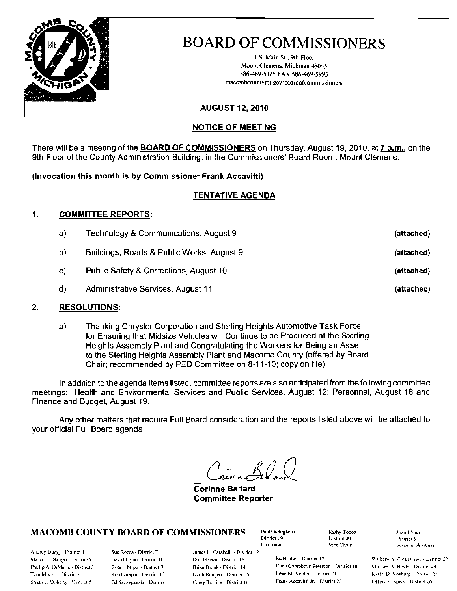

J.S. Main St., 9th Floor Mount Clemens, Michigan 48043 586-469-5125 FAX 586-469-5993 macombconntymi.gov/boardofcommissioners

## **AUGUST 12, 2010**

## **NOTICE OF MEETING**

There will be a meeting of the **BOARD OF COMMISSIONERS** on Thursday, August 19, 2010, at 7 p.m., on the 9th Floor of the County Administration Building, in the Commissioners' Board Room, Mount Clemens.

(Invocation this month is by Commissioner Frank Accavitti)

## TENTATIVE AGENDA

#### $\mathbf{1}$ . **COMMITTEE REPORTS:**

| a) | Technology & Communications, August 9     | (attached) |
|----|-------------------------------------------|------------|
| b) | Buildings, Roads & Public Works, August 9 | (attached) |
| C) | Public Safety & Corrections, August 10    | (attached) |
| d) | Administrative Services, August 11        | (attached) |

#### $2.$ **RESOLUTIONS:**

Thanking Chrysler Corporation and Sterling Heights Automotive Task Force  $a)$ for Ensuring that Midsize Vehicles will Continue to be Produced at the Sterling Heights Assembly Plant and Congratulating the Workers for Being an Asset to the Sterling Heights Assembly Plant and Macomb County (offered by Board Chair; recommended by PED Committee on 8-11-10; copy on file)

In addition to the agenda items listed, committee reports are also anticipated from the following committee meetings: Health and Environmental Services and Public Services, August 12; Personnel, August 18 and Finance and Budget, August 19.

Any other matters that require Full Board consideration and the reports listed above will be attached to your official Full Board agenda.

**Corinne Bedard Committee Reporter** 

Don Brown - District 13

Brian Brdak - District 14

Keith Rengert - District 15

Carey Torrice - District 16

## **MACOMB COUNTY BOARD OF COMMISSIONERS**

Andrey Duzyj District 1 Marvin F. Sauger - District 2 Phillip A. DiMaria - District 3 Toni Moceri District 4 Snsan L. Doherty (District 5)

Sue Rocca - District 7 David Flynn - District B Robert Mijac - District 9 Ken Lampar - District 10 Ed Szczepanski - District 11

Paul Gieleghem District 19 Chairman James L. Carabelli - District 12

Kathy Tocco District 20 Vice Chair

Ed Bruley - District 17 Dana Camphous-Peterson - District 18 Irene M. Kepler - District 21 Frank Accavitti Jr. - District 22

Joan Flynn District 6 Screenul-At-Arms

William A. Crouchman - District 23 Michael A. Boyle District 24 Kathy D. Vosburg District 25 Jeffery S. Sprys. District 26.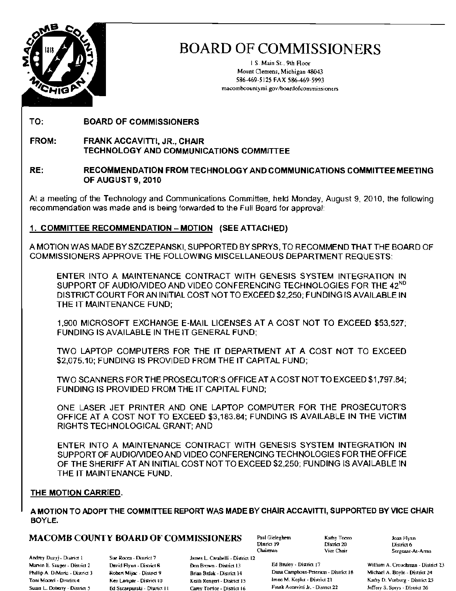

I S. Main St., 9th Roor Mount Clemens, Michigan 48043 586-469-5125 FAX 586-469-5993 macombcountymi.gov/boardofcommissioners

TO: BOARD OF COMMISSIONERS

FROM: FRANK ACCAVITTI, JR., CHAIR TECHNOLOGY AND COMMUNICATIONS COMMITTEE

#### RE: RECOMMENDATION FROM TECHNOLOGY AND COMMUNICATIONS COMMITTEE MEETING OF AUGUST 9, 2010

At a meeting of the Technology and Communications Committee, held Monday, August 9, 2010, the following recommendation was made and is being forwarded to the Full Board for approval:

## 1. COMMITTEE RECOMMENDATION - MOTION (SEE ATTACHED)

A MOTION WAS MADE BY SZCZEPANSKI, SUPPORTED BY SPRYS, TO RECOMMEND THAT THE BOARD OF COMMISSIONERS APPROVE THE FOLLOWING MISCELLANEOUS DEPARTMENT REQUESTS:

ENTER INTO A MAINTENANCE CONTRACT WITH GENESIS SYSTEM INTEGRATION IN SUPPORT OF AUDIO/VIDEO AND VIDEO CONFERENCING TECHNOLOGIES FOR THE 42<sup>ND</sup> DISTRICT COURT FORAN INITIAL COST NOTTO EXCEED \$2,250; FUNDING IS AVAILABLE IN THE IT MAINTENANCE FUND;

1,900 MICROSOFT EXCHANGE E-MAIL LICENSES AT A COST NOT TO EXCEED \$53,527: FUNDING IS AVAILABLE IN THE IT GENERAL FUND;

TWO LAPTOP COMPUTERS FOR THE IT DEPARTMENT AT A COST NOT TO EXCEED \$2,075.10; FUNDING IS PROVIDED FROM THE IT CAPITAL FUND;

TWO SCANNERS FOR THE PROSECUTOR'S OFFICE AT ACOST NOT TO EXCEED \$1 ,797.84; FUNDING IS PROVIDED FROM THE IT CAPITAL FUND;

ONE LASER JET PRINTER AND ONE LAPTOP COMPUTER FOR THE PROSECUTOR'S OFFICE AT A COST NOT TO EXCEED \$3,183.84; FUNDiNG IS AVAILABLE IN THE VICTIM RIGHTS TECHNOLOGICAL GRANT; AND

ENTER INTO A MAINTENANCE CONTRACT WITH GENESIS SYSTEM INTEGRATION IN SUPPORT OF AUDIONIDEO AND VIDEO CONFERENCING TECHNOLOGIES FOR THE OFFICE OF THE SHERIFF AT AN INITIAL COST NOT TO EXCEED \$2,250; FUNDING is AVAILABLE IN THE IT MAINTENANCE FUND.

#### THE MOTION CARRIED.

A MOTION TO ADOPT THE COMMITTEE REPORT WAS MADE BY CHAIR ACCAVITTI, SUPPORTED BY ViCE CHAIR BOYLE.

## $\textbf{MACOMB COUNITY BOARD OF COMMISSIONERS}$  Paul Gieleghem  $\begin{array}{ccc} \textbf{Kathy Tocov} & \textbf{Xcaty Tocov} \end{array}$  District  $\begin{array}{ccc} \textbf{Sot} & \textbf{Dot} & \textbf{Dot} \ \textbf{Dot} & \textbf{Dot} & \textbf{Dot} \ \textbf{Dot} & \textbf{Dot} & \textbf{Dot} \ \textbf{Dot} & \textbf{Dot} & \textbf{Dot} \ \textbf{Dot} & \textbf{Dot} & \textbf{Dot} \ \end{array}$

Andrey Duzyj - District 1 Sue Rocca - District 7

James L. Carabelli - District 12

Chairman

Fhillip A. DiMaria - District 3 Robert Mijac - District 9 Brian Brdak - District 14 Dana Camphous-Peterson - District 18 Michael A. Boyle - District 24 Toni Moceri - District 4 Ken Lampar - District 10 Keith Rengert - District 15 Irene M. Kepler - District 21 Kathy D. Vosburg - District 25 Susan L. Doherry - District 5 F St. Sezzepanski - District II Carey Torrice - District 16 Frank Accavitti Jr. - District 22 Jeffery S. Sprys - District 26

District 6 Vice Chair Sergeant-At-Arms

Marvin E. Sauger - District 2 David Flynn - District 8 Don Brown - District 13 Ed Bruley - District 17 William A. Crouchman - District 23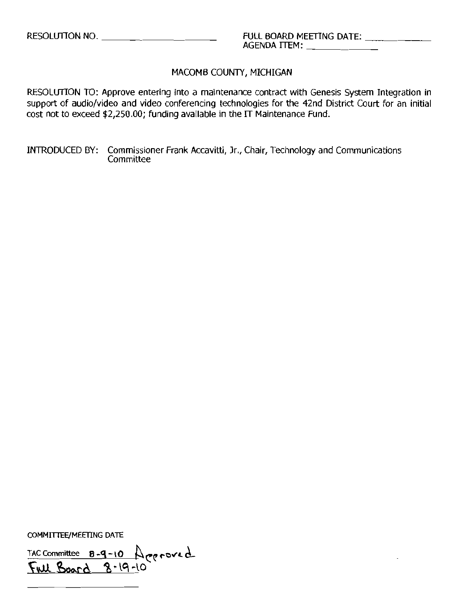RESOLUTION TO: Approve entering into a maintenance contract with Genesis System Integration in support of audio/video and video conferencing technologies for the 42nd District Court for an initial cost not to exceed \$2,250.00; funding available in the IT Maintenance Fund.

INTRODUCED BY: Commissioner Frank Accavitti, Jr., Chair, Technology and Communications **Committee** 

COMMITTEE/MEETING DATE

TAC Committee **8-9-10** A ceroved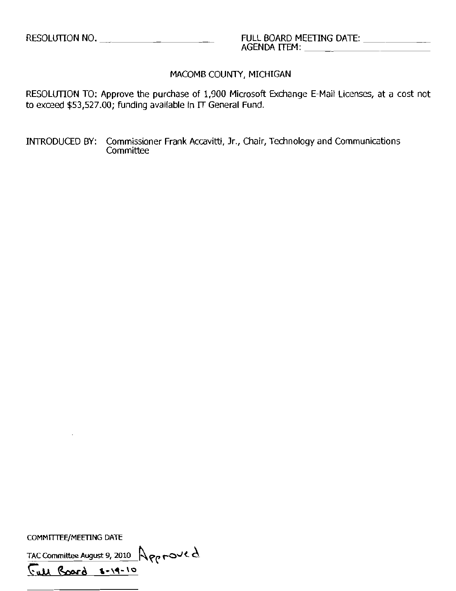RESOLUTION TO: Approve the purchase of 1,900 Microsoft Exchange E-Mail Licenses, at a cost not to exceed  $$53,527.00$ ; funding available in  $\Pi$  General Fund.

INTRODUCED BY: Commissioner Frank Accavitti, Jr., Chair, Technology and Communications **Committee** 

COMMITTEE/MEETING DATE

TAC Committee August 9, 2010  $\bigcap_{\mathcal{P} \in \mathcal{P}} \neg \circ \vee \in \Delta$ 

<u>Full Board 1-19-10</u>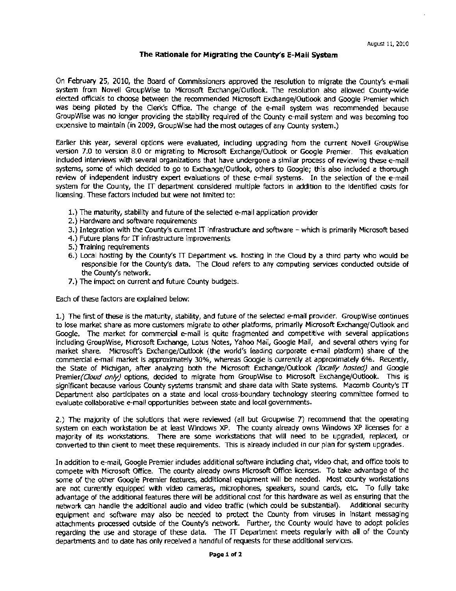#### The Rationale for Migrating the County's E-Mail System

On February 25, 2010, the Board of Commissioners approved the resolution to migrate the County's e~mail system from Novell GroupWise to Microsoft Exchange/Outlook. The resolution also allowed County-wide elected officials to choose between the recommended Microsoft Exchange/Outlook and Google Premier which was being piloted by the Clerk's Office. The change of the e~mail system was recommended because GroupWise was no longer providing the stability required of the County e-mail system and was becoming too expensive to maintain (in 2009, GroupWise had the most outages of any County system.)

Earlier this year, several options were evaluated, including upgrading from the current Novell GroupWise version 7.0 to version 8.0 or migrating to Microsoft Exchange/Outlook or Google Premier. This evaluation included interviews with several organizations that have undergone a similar process of reviewing these e-mail systems, some of which decided to go to Exchange/Outlook, others to Google; this also included a thorough review of independent industry expert evaluations of these e-mail systems. In the selection of the e-mail system for the County, the IT department considered multiple factors in addition to the identified costs for licensing. These factors induded but were not limited to:

- 1.) The maturity, stability and future of the selected e-mail application provider
- 2.) Hardware and software requirements
- 3.) Integration with the County's current IT infrastructure and software which is primarily Microsoft based
- 4.) Future plans for IT infrastructure improvements
- 5.) Training requirements
- 6.) Local hosting by the County's  $\Pi$  Department vs. hosting in the Cloud by a third party who would be responsible for the County's data. The Cloud refers to any computing services conducted outside of the County's network.
- 7.) The impact on current and future County budgets.

Each of these factors are explained below:

1.) The first of these is the maturity, stability, and future of the selected e-mail provider. GroupWise continues to lose market share as more customers migrate to other platforms, primarily Microsoft Exchange/Outlook and Google. The market for commercial e-mail is quite fragmented and competitive with several applications including GroupWise, Microsoft Exchange, Lotus Notes, Yahoo Mail, Google Mail, and several others vying for market share. Microsoft's Exchange/Outlook (the world's leading corporate e-mail platform) share of the commercial e-mail market is approximately 30%, whereas Google is currently at approximately 6%. Recently, the State of Michigan, after analyzing both the Microsoft Exchange/Outlook *(locally hosted)* and Google Premier*(Cloud only)* options, decided to migrate from GroupWise to Microsoft Exchange/Outlook. This is significant because various County systems transmit and share data with State systems. Macomb County's IT Department also participates on a state and local cross-boundary technology steeting committee formed to evaluate collaborative e-mail opportunities between state and local governments.

2.) The majority of the solutions that were reviewed (all but Groupwise 7) recommend that the operating system on each workstation be at least Windows XP. The county already owns Windows XP licenses for a majority of its workstations. There are some workstations that will need to be upgraded, replaCed, or converted to thin client to meet these requirements. This is already included in our plan for system upgrades.

In addition to e-mail, Google Premier includes additional software including chat, video chat, and office tools to compete with Microsoft Office. The county already owns Microsoft Offlre licenses. To take advantage of the some of the other Google Premier features, additional equipment will be needed. Most county workstations are not currently equipped with video cameras, microphones, speakers, sound cards, etc. To fully take advantage of the additional features there will be additional cost for this hardware as well as ensuring that the network can handle the additional audio and video traffic (which could be SUbstantial). Additional security equipment and software may also be needed to protect the County from viruses in instant messaging attachments processed outside of the County's network. Further, the County would have to adopt policies regarding the use and storage of these data. The IT Department meets regularly with all of the County departments and to date has only received a handful of requests for these additional services.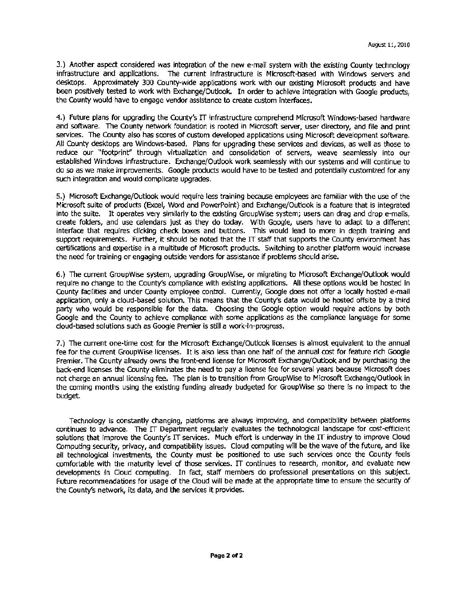3.) Another aspect considered was integration of the new e-mail system with the existing County technology infrastructure and applications. The current infrastructure is Microsoft-based with Windows servers and desktops. Approximately 300 County-wide applications work with our existing Microsoft products and have been positively tested to work with Exchange/Outlook. In order to achieve integration with Google products. the County would have to engage vendor assistance to create custom interfaces.

4.) Future plans for upgrading the County's IT infrastructure comprehend Microsoft Windows-based hardware and software. The County network foundation is rooted in Microsoft server, user directory, and file and print services. The County also has scores of custom developed applications using Microsoft development software. All County desktops are Windows-based. Plans for upgrading these services and devices, as well as those to reduce our "footprint" through virtualization and consolidation of servers, weave seamlessly into our established Windows infrastructure. Exchange/Outlook work. seamlessly with our systems and will continue to do so as we make improvements. Google products would have to be tested and potentially customized for any such integration and would complicate upgrades.

5.) Microsoft Exchange/Outlook would require less training because employees are familiar with the use of the Microsoft suite of products (Excel, Word and PowerPoint) and Exchange/Outlook is a feature that is integrated into the suite. It operates very similarly to the existing GroupWise system; users can drag and drop e-mails, create folders, and use calendars just as they do today. With Google, users have to adapt to a different interface that requires clicking check. boxes and buttons. This would lead to more in depth training and support reqUirements. Further, it should be noted that the IT staff that supports the County environment has certifications and expertise in a multitude of Microsoft products. Switching to another platform would increase the need for training or engaging outside vendors for assistance if problems should arise.

6.) The current GroupWise system, upgrading GroupWise, or migrating to Microsoft Exchange/Outlook. would require no change to the County's compliance with existing applications. All these options would be hosted in County facilities and under County employee control. Currently, Google does not offer a locally hosted e-mail application, only a cloud-based solution. This means that the County's data would be hosted offsite by a third party who would be responsible for the data. Choosing the Google option would require actions by ooth Google and the County to achieve compliance with some applications as the compliance language for some cloud-based solutions such as Google Premier is still a work-in-progress.

7.) The current one-time cost for the Microsoft Exchange/Outlook licenses is almost eqUivalent to the annual fee for the current GroupWise licenses. It is also less than one half of the annual cost for feature rich Google Premier. The County already owns the front-end license for Microsoft: Exchange/Outlook. and by purchasing the back-end licenses the County eliminates the need to pay a license fee for several years because Microsoft does not charge an annual licensing fee. The plan is to transition from GroupWlse to Microsoft Exchange/Outlook In the coming months using the eXisting funding already budgeted for GroupWise so there is no impact to the budget.

Technology is constantly changing, platforms are always improving, and compatibility between platfonns continues to advance. The IT Department regularly evaluates the technological landscape for cost-efficient solutions that improve the County's IT services. Much effort is underway in the IT industry to improve Cloud Computing security, privacy, and compatibility issues. Cloud computing will be the wave of the future, and like all technological investments, the County must be positioned to use such services once the County feels comfortable with the maturtty level of those services. IT continues to research, monitor, and evaluate new developments in Cloud computing. In fact, staff members do professional presentations on this SUbject. Future recommendations for usage of the Cloud will be made at the appropriate time to ensure the security of the County's network, its data, and the services it provides.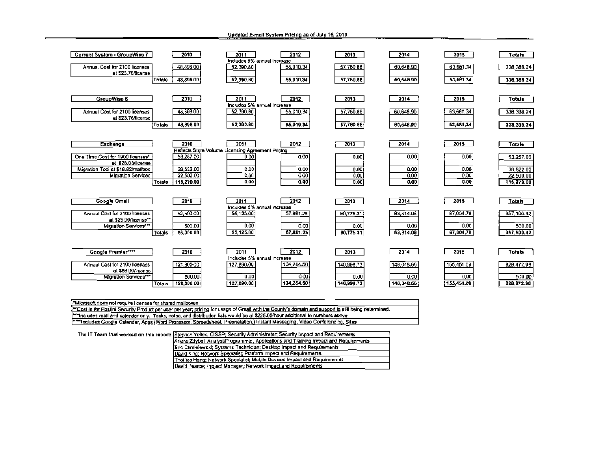| Current System - GroupWise 7                           |               | 2010                    | 2011                                                      | 2012                                     | 2013         | 2014         | 2015         | Totals                  |
|--------------------------------------------------------|---------------|-------------------------|-----------------------------------------------------------|------------------------------------------|--------------|--------------|--------------|-------------------------|
| Annual Cost for 2100 licenses<br>at \$23.76/lcense     |               | 48,896.00               | 52,390.80                                                 | Includes 5% annual increase<br>55,010.34 | 57,760.88    | 60,648.90    | 63,681.34    | 336, 366.24             |
|                                                        | Totate        | 48,896.00               | 52,390.80                                                 | 55,010.34                                | 57,760.86    | 60,648.90    | 63,681.34    | 336, 368.24             |
| GroupWise 8                                            |               | 2010                    | 2011                                                      | 2012<br>Includes S% annual increase      | 2013         | 2014         | 2015         | Totals                  |
| Annual Cost for 2100 licenses<br>at \$23.76/license    |               | 48,608.00               | 52,390.80                                                 | 55,010.34                                | 57,760.86    | 60,648.90    | 63,661.34    | 336, 388.24             |
|                                                        | <b>Totals</b> | 48,896.00               | 52,390.80                                                 | 55,010.34                                | 57,780.88    | 60,648.90    | 63,681.34    | 338,388.24              |
| Exchange                                               |               | 2010                    | 2011<br>Reflects Stete Volume Licensing Agreement Pricing | 2012                                     | 2013         | 2014         | 2015         | <b>Totals</b>           |
| One Time Cost for 1900 Ilcenses*<br>at \$28,03/license |               | 53,257.00               | 0.00                                                      | 0.00                                     | 0.00         | 0.00         | 0.00         | 53,257.00               |
| Migration Tool at \$18.82/mailbox                      |               | 39,522.00               | 0.00                                                      | 0.00                                     | 0.00         | 0.00         | 0.00         | 39,522.00               |
| <b>Migration Services</b>                              | <b>Totale</b> | 22,500.00<br>115,279.00 | 0,00<br>0.00                                              | 0.00<br>0.00                             | 0,00<br>0,00 | 0.00<br>0.00 | 0.00<br>0.00 | 22,500.00<br>115,279.00 |
| <b>Google Omell</b>                                    |               | 2010                    | 2011                                                      | 2012                                     | 2013         | 2014         | 2015         | <b>Totals</b>           |
| Annual Cost for 2100 Itcenses                          |               | 52,500.00               | 55,125,00                                                 | Includes 5% annual increase<br>57,861,25 | 60,775.31    | 83,814.08    | 87,004.78    | 357,100.42              |
| at \$25.00/license**<br>Migration Services***          |               | 500.00                  | 0.00                                                      | 0.00                                     | 0.00         | 0.00         | 0.00         | 500.00                  |
|                                                        | <b>Totals</b> | 53.000.00               | 55,125.00                                                 | 57,881.25                                | 80,775.31    | 63,814.00    | 67,004.78    | 367,600.42              |
| <b>Google Premier****</b>                              |               | 2010                    | 2011                                                      | 2012<br>Includes 5% annual increase      | 2013         | 2014         | 2015         | Totala                  |
| Annual Cost for 2100 lloenses                          |               | 121,800.00              | 127,890.00                                                | 134,284.50                               | 140,998,73   | 148,048.66   | 155,451.09   | 828,472.98              |
| et \$58.00/licanse<br>Migration Services***            |               | 500.00                  | 0.00                                                      | 0.00                                     | 0.00         | 0.00         | 0,00         | 500.00                  |
|                                                        | Totals        | 122,300.00              | 127.890.00                                                | 134, 284, 50                             | 140,996.73   | 148,048.66   | 155,451.09   | 828.972.98              |

Updated E-mail System Pricing as of July 16, 2010

| Microsoft does not require licenses for shared mailboxes.                                                                                                         |
|-------------------------------------------------------------------------------------------------------------------------------------------------------------------|
| <sup>144</sup> Cost is for Postini Security Product per user per year; pricing for usage of Gmail with the County's domain and support is still being determined. |
| [***Includes mail and calendar only. Tasks, notes, and distribution lists would be at \$225.00/hour additional to numbers above                                   |
| ‡****Includes Google Calender, Apps (Word Processor, Spreedsheel, Presnetation,) Instant Messeging, Video Conferencing, Sites                                     |
|                                                                                                                                                                   |

| The IT Team that worked on this report: Stephen Yellck, CISSP; Security Administrator, Security Impact and Requirements |
|-------------------------------------------------------------------------------------------------------------------------|
| Ariene Zdybel; Analyst/Programmer; Applications and Training Impact and Requirements                                    |
| Eric Chmielewski: Systems Technician: Desktop Impact and Requirements                                                   |
| David King: Network Specialist: Platform Impact and Regulrements                                                        |
| Thomas Hang; Network Specialist; Mobile Devices Impact and Requirements                                                 |
| David Pearce: Project Manager: Network Impact and Requirements                                                          |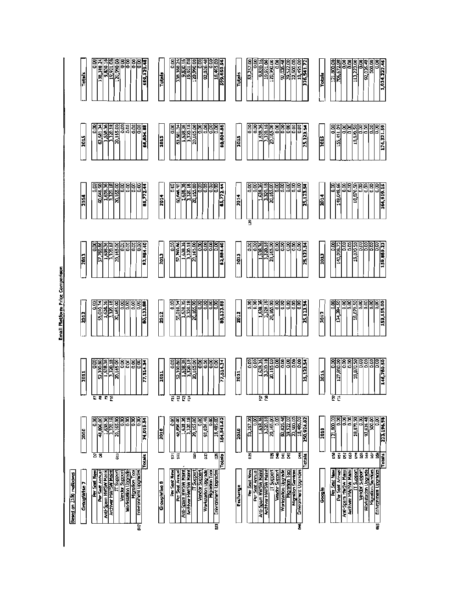

Email Plactorin Price Comparison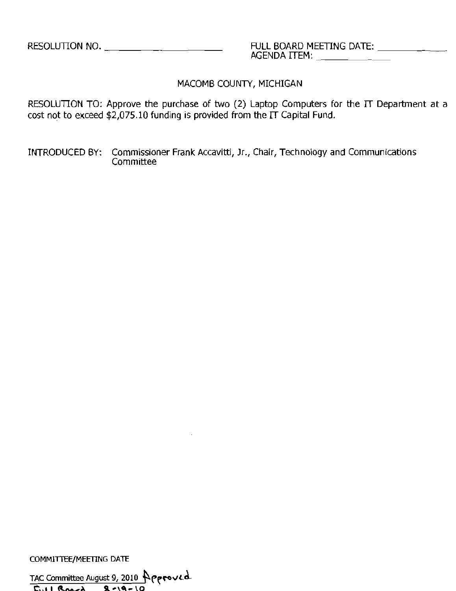AGENDA ITEM: \_

MACOMB COUNTY, MICHIGAN

RESOLUTION TO: Approve the purchase of two (2) Laptop Computers for the IT Department at a cost not to exceed \$2,075.10 funding is provided from the  $\Pi$  Capital Fund.

INTRODUCED BY: Commissioner Frank Accavitti, Jr., Chair, Technology and Communications **Committee** 

COMMITTEE/MEETING DATE

TAC Committee August 9, 2010 POPPOVLD  $\sum_{i=1}^n 1$  *R* ..., **B**  $\sim$  **19** - 10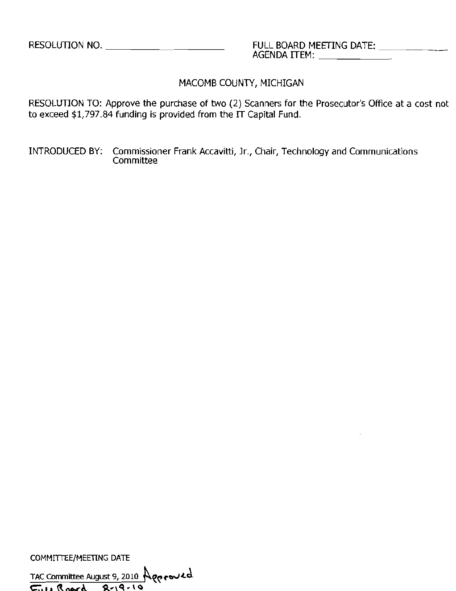RESOLUTION TO: Approve the purchase of two (2) Scanners for the Prosecutor's Office at a cost not to exceed \$1,797.84 funding is provided from the IT Capital Fund.

INTRODUCED BY: Commissioner Frank Accavitti, Jr., Chair, Technology and Communications Committee

COMMITTEE/MEETING DATE

TAC Committee August 9, 2010 Aggroued  $\sqrt{5.41 \cdot 8.06r}$  8-19-10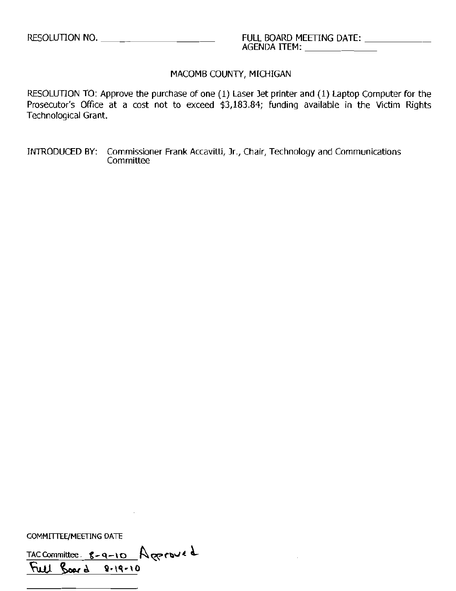RESOLUTION TO: Approve the purchase of one (1) Laser Jet printer and (1) Laptop Computer for the Prosecutor's Office at a cost not to exceed \$3,183.84; funding available in the Victim Rights Technological Grant.

INTRODUCED 8Y: Commissioner Frank Accavitti, Jr., Chair, Technology and Communications **Committee** 

COMMITTEE/MEETING DATE

 $TAC$  Committee  $g-q-10$  Agenove d  $\overline{F}$ ull  $\overline{g}$ oar  $d = 2.19.10$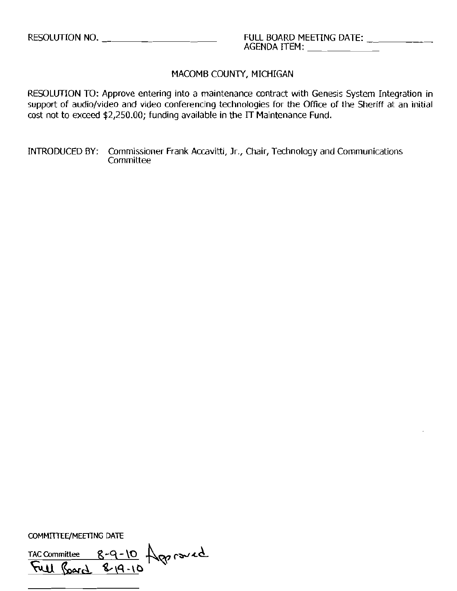RESOLlJTION TO: Approve entering into a maintenance contract with Genesis System Integration in support of audio/video and video conferencing technologies for the Office of the Sheriff at an initial cost not to exceed \$2,250.00; funding available in the IT Maintenance Fund.

INTRODUCED BY: Commissioner Frank Accavitti, Jr., Chair, Technology and Communications Committee

COMMITTEE/MEETING DATE

 $TAC$  Committee  $8-9-10$   $\bigwedge_{P} 6$   $\bigwedge_{P} 4$ 8-9-10<br>8-19-10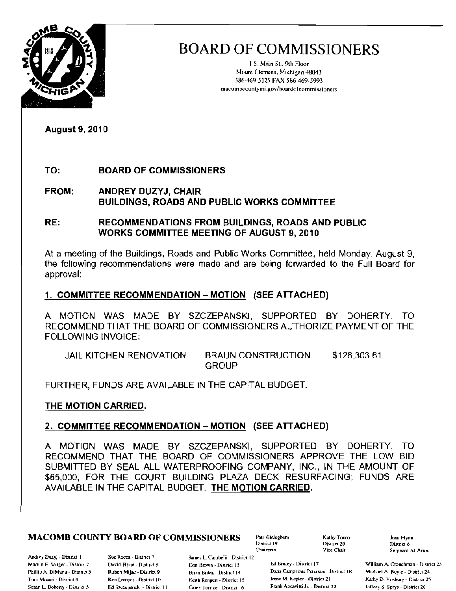

I S. Main St., 9th Floor Mount Clemens, Michigan 48043 586-469-5125 FAX 586-469·5993 macombcountymi.gov/boardofcommissioners

August 9, 2010

## TO: BOARD OF COMMISSIONERS

FROM: ANDREY DUZYJ, CHAIR BUILDINGS, ROADS AND PUBLIC WORKS COMMITTEE

RE: RECOMMENDATIONS FROM BUILDINGS, ROADS AND PUBLIC WORKS COMMITTEE MEETING OF AUGUST 9, 2010

At a meeting of the Buildings, Roads and Public Works Committee, held Monday, August 9, the following recommendalions were made and are being forwarded to the Full Board for approval:

## 1. COMMITTEE RECOMMENDATION - MOTION (SEE ATTACHED)

A MOTION WAS MADE BY SZCZEPANSKI, SUPPORTED BY DOHERTY, TO RECOMMEND THAT THE BOARD OF COMMISSIONERS AUTHORIZE PAYMENT OF THE FOLLOWING INVOICE:

| <b>JAIL KITCHEN RENOVATION</b> | <b>BRAUN CONSTRUCTION</b> | \$128,303.61 |
|--------------------------------|---------------------------|--------------|
|                                | <b>GROUP</b>              |              |

FURTHER, FUNDS ARE AVAILABLE IN THE CAPITAL BUDGET.

## THE MOTION CARRIED.

## 2. COMMITTEE RECOMMENDATION - MOTION (SEE ATTACHED)

A MOTION WAS MADE BY SZCZEPANSKI. SUPPORTED BY DOHERTY, TO RECOMMEND THAT THE BOARD OF COMMISSIONERS APPROVE THE LOW BID SUBMITTED BY SEAL ALL WATERPROOFING COMPANY, INC., IN THE AMOUNT OF \$65,000, FOR THE COURT BUILDING PLAZA DECK RESURFACING; FUNDS ARE AVAILABLE IN THE CAPITAL BUDGET. THE MOTION CARRIED.

## **MACOMB COUNTY BOARD OF COMMISSIONERS** Paul Gieleghem  $\frac{\text{Kathy Toco}}{\text{Disufat } 19}$  and  $\frac{\text{Kathy Toco}}{\text{Disufat } 20}$

Andrey Duzyj - District 1 Sue Rocca - District 7

James L. Carabelli - District 12

Chairman

District 20<br>Vice Chair

Marvin E. Sauger - District 2 David Flynn - District 8 Don Brown - District 13 Ed Bruley - District 17 William A. Crouchman - District 23 Phillip A. DiMaria - District 3 Rohert Mijac - District 9 Brian Bruak - District 14 Dana Camphous Peterson - District 18 Michael A. Boyle - District 24 Toni Moceri - District 4 Ken Lampur - District 10 Kerth Rengert - District 15 Irene M. Kepler - District 21 Kathy D. Vosburg - District 25 Susan L. Doherty - District 5 Ed Szczepanski - District 11 Catey Torrice - District 16 Frank Accavitti Jr. - District 22 JelTery S. Sprys - District 26

Sergeant-At-Arms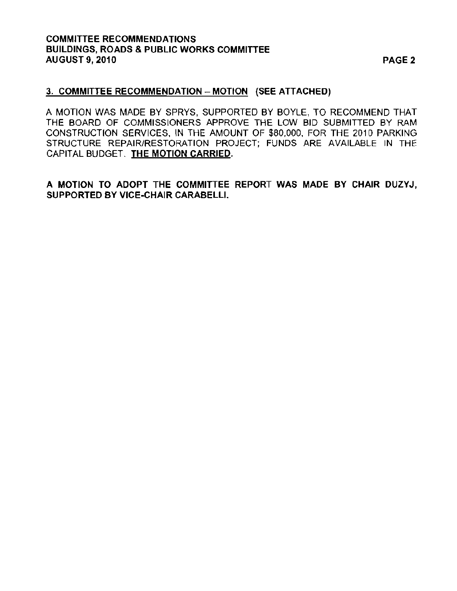## COMMITTEE RECOMMENDATIONS BUILDINGS, ROADS & PUBLIC WORKS COMMITTEE AUGUST 9, 2010 PAGE 2

## 3. COMMITTEE RECOMMENDATION - MOTION (SEE ATTACHED)

A MOTION WAS MADE BY SPRYS, SUPPORTED BY BOYLE, TO RECOMMEND THAT THE BOARD OF COMMISSIONERS APPROVE THE LOW BID SUBMITTED BY RAM CONSTRUCTION SERVICES, IN THE AMOUNT OF *\$80,000,* FOR THE *2010* PARKING STRUCTURE REPAIR/RESTORATION PROJECT; FUNDS ARE AVAILABLE IN THE CAPITAL BUDGET. THE MOTION CARRIED.

A MOTION TO ADOPT THE COMMITTEE REPORT WAS MADE BY CHAIR DUZYJ, SUPPORTED BY VICE-CHAIR CARABELLI.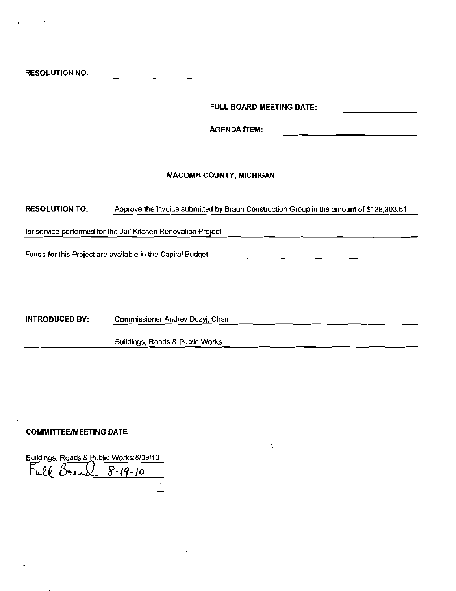RESOLUTION NO.

FULL BOARO MEETING DATE:

,

AGENDA ITEM:

#### MACOMB COUNTY. MICHIGAN

RESOLUTION TO: **Approve the invoice submitted by Braun Construction Group in the amount of \$128,303.61** 

**for service performed for the Jail Kitchen Renovation Project** 

**Funds for this Project are available in the Capital BUdget.** 

INTRODUCED BY: **Commissioner Andrey Duzyj, Chair** 

**Buildings, Roads & Public Works** 

#### COMMITTEE/MEETING DATE

Buildings, Roads & Public Works:8/09/10 8-19-10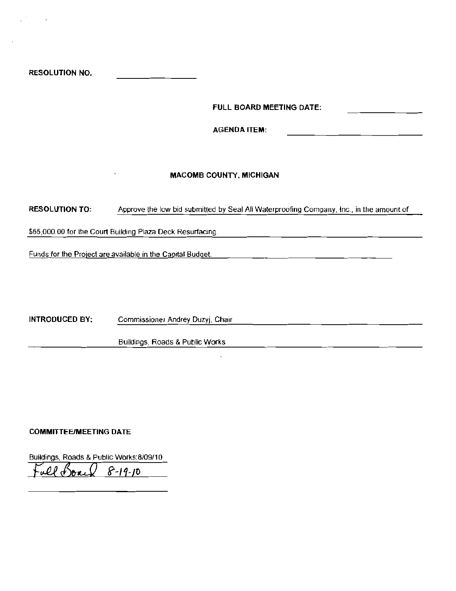RESOLUTION NO.

FULL BOARD MEETING DATE:

**AGENDA ITEM:** 

#### MACOMB COUNTY. MICHIGAN

RESOLUTION TO: Approve the low bid submitted by Seal All Waterproofing Company, Inc., in the amount of

\$65,000.00 for the Court Building Plaza Deck Resurfacing,

FUl1ds for the Project are available in the Capital Budget.

INTRODUCED BY: Commissioner Andrey Duzyj, Chair

BUildings, Roads & Public Works

#### COMMITTEE/MEETING DATE

Buildings, Roads & Public Works:8J09/10  $8 - 19 - 10$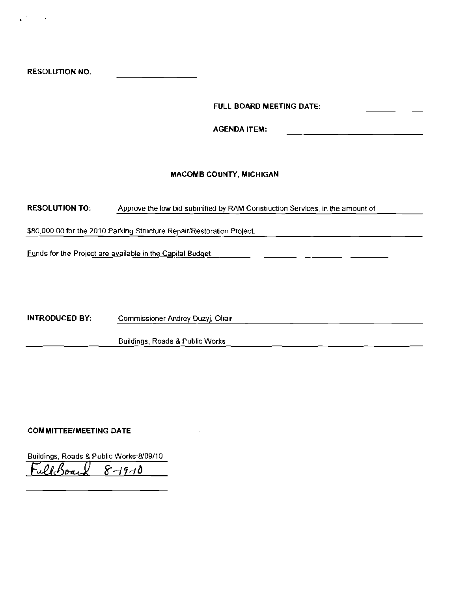FULL BOARD MEETING DATE:

AGENDA ITEM:

#### **MACOMB COUNTY, MICHIGAN**

RESOLUTION TO: Approve the low bid submitted by RAM Construction Services, in the amount of

\$80,000.00 for the 2010 Parking Structure Repair/Restoration Project.

Funds for the Project are available in the Capital Budget

INTRODUCED BY: Commissioner Andrey Duzyj, Chair

Buildings, Roads & Public Works

#### **COM MITTEE/MEETING DATE**

Buildings, Roads & Public Works:8109/10 *F..£RJ3J g--/HtJ*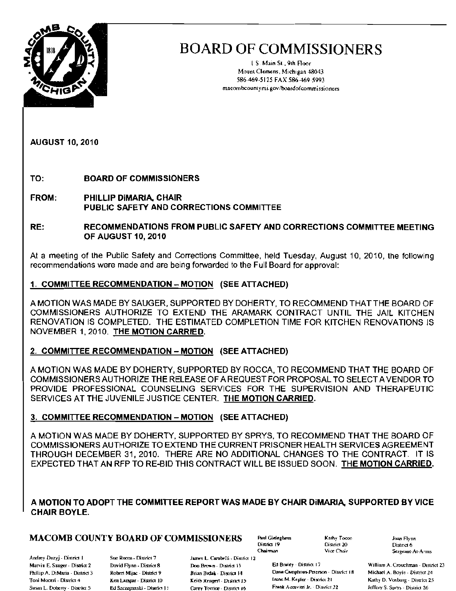

I S Main 51. 9th. Floor Mounl Clemens, Michigan 48043 586-469-5125 FAX 586·469-5993 macombcounlymi.gov/boardofcommissioners

AUGUST 10, 2010

TO: BOARD OF COMMISSIONERS

FROM: PHILLIP DiMARIA, CHAIR PUBLIC SAFETY AND CORRECTIONS COMMITTEE

RE: RECOMMENDATIONS FROM PUBLIC SAFETY AND CORRECTIONS COMMITTEE MEETING OF AUGUST 10, 2010

At a meeting of lhe Public Safety and Corrections Committee, held Tuesday, August 10, 2010, the following recommendations were made and are being forwarded to the Full Board for approval:

### 1. COMMITTEE RECOMMENDATION - MOTION (SEE ATTACHED)

A MOTION WAS MADE BY SAUGER, SUPPORTED BY DOHERTY, TO RECOMMEND THAT THE BOARD OF COMMISSIONERS AUTHORIZE TO EXTEND THE ARAMARK CONTRACT UNTIL THE JAIL KITCHEN RENOVATION IS COMPLETED. THE ESTIMATED COMPLETION TIME FOR KITCHEN RENOVATIONS IS NOVEMBER 1.2010. THE MOTION CARRIED.

#### 2. COMMITTEE RECOMMENDATION - MOTION (SEE ATTACHED)

A MOTION WAS MADE BY DOHERTY, SUPPORTED BY ROCCA, TO RECOMMEND THAT THE BOARD OF COMMISSIONERS AUTHORIZE THE RELEASE OF A REQUEST FOR PROPOSAL TO SELECT A VENDOR TO PROVIDE PROFESSIONAL COUNSELING SERVICES FOR THE SUPERVISION AND THERAPEUTIC SERVICES ATTHE JUVENILE JUSTICE CENTER. THE MOTION CARRIED.

## 3. COMMITTEE RECOMMENDATION - MOTION (SEE ATTACHED)

A MOTION WAS MADE BY DOHERTY, SUPPORTED BY SPRYS, TO RECOMMEND THAT THE BOARD OF COMMISSIONERS AUTHORIZE TO EXTEND THE CURRENT PRISONER HEALTH SERVICES AGREEMENT THROUGH DECEMBER 31, 2010. THERE ARE NO ADDITIONAL CHANGES TO THE CONTRACT. IT IS EXPECTED THAT AN RFP TO RE-BID THIS CONTRACT WILL BE ISSUED SOON. THE MOTION CARRIED.

### A MOTION TO ADOPT THE COMMITTEE REPORT WAS MADE BY CHAIR DiMARIA, SUPPORTED BY VICE CHAIR BOYLE.

## **MACOMB COUNTY BOARD OF COMMISSIONERS** Paul Gieleghern  $\overrightarrow{K}$ athy Tocos Joan Flynn

Andrey Duzyj - District I Sue Rocca - District 7 James L. Carabelli - District 12

Oistrics 19 District 20<br>Chairman Vice Chair

Philiip A. DiMaria - District 3 Robert Mijac - District 9 flexing Brian Bodak - District 14 Dane Camphous-Peterson - District 18 Michael A. Boyle - District 24 de animar - District 25 feeth Repert - District 15 feeth Keple Toni Moceri - District 4 Ken Lampar - District 10 Keith Rengert - District 15 Inche M. Kepler - District 21 Kathy D. Vosburg - District 25 Susan L. Doberty - District 5 Ed Szczepanski - District 11 Carey Torrice - District 16 Frank Ascavitri Ir. - District 22 Jeffery S. Sprys - District 26

Vice Chair "Sergeant-At-Arms"

Marvin E. Sauger - District 2 David Flynn - District 8 Doo Brown - District 13 Ed Bruley - District 17 William A. Crouchman - District 23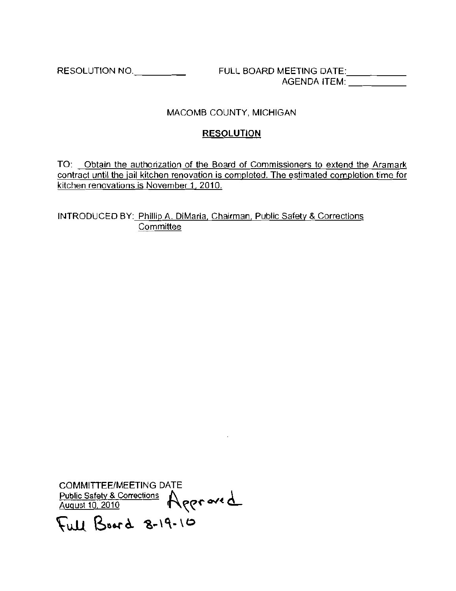RESOLUTION NO.. \_ FULL BOARD MEETING DATE: \_ AGENDA ITEM: \_\_\_\_\_\_\_\_\_

## MACOMB COUNTY, MICHIGAN

## RESOLUTION

**TO: Obtain the authorization of the Board of Commissioners to extend the Aramark contract until the jail kitchen renovation is completed. The estimated completion time for kitchen renovations is November 1, 2010.** 

INTRODUCED BY: Phillip A. DiMaria, Chairman, Public Safely & Corrections **Committee** 

COMMITIEE/MEETING DATE **Public Safety & Corrections I\. 0-./( <l.**  August 10, 2010 **f**\\\\

Full Board 8-19-10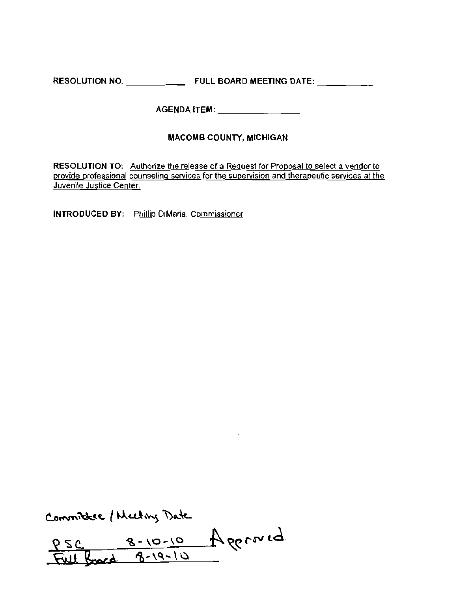RESOLUTION NO. \_ FULL BOARD MEETING DATE: \_

AGENDA ITEM: \_\_\_\_\_\_\_\_\_\_\_\_\_\_\_\_

## MACOMB COUNTY, MICHIGAN

**RESOLUTION TO: Authorize the release of a Request for Proposal to select a vendor to**  provide professional counseling services for the supervision and therapeutic services at the **Juvenile Justice Center.** 

**INTRODUCED BY: Phillip DiMaria, Commissioner** 

Committee / Meeting Date

 $\sim 10^7$ 

PSC 8-10-10 Approved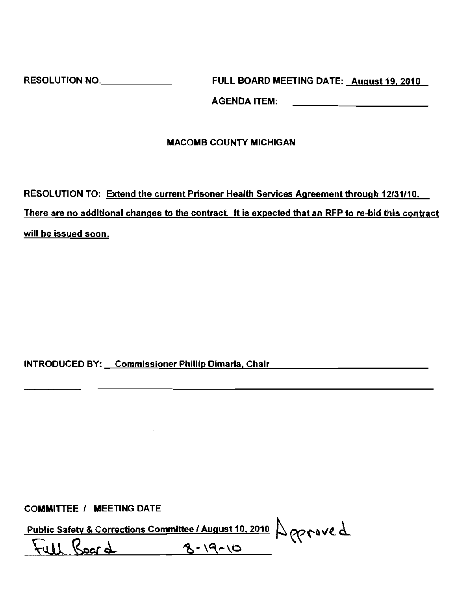RESOLUTION NO. \_ FULL BOARD MEETING DATE: August 19,2010

AGENDA ITEM:

## MACOMB COUNTY MICHIGAN

RESOLUTION TO: Extend the current Prisoner Health Services Agreement through 12/31/10, There are no additional changes to the contract. It is expected that an RFP to re-bid this contract **will be issued soon.** 

## INTRODUCED BY: Commissioner Phillip Dimaria, Chair

COMMITTEE / MEETING DATE

Public Safety & Corrections Committee / August 10, 2010  $\bigcup_{Q \geq \Gamma} Q \cup Q$ 

Full Board 8-19-10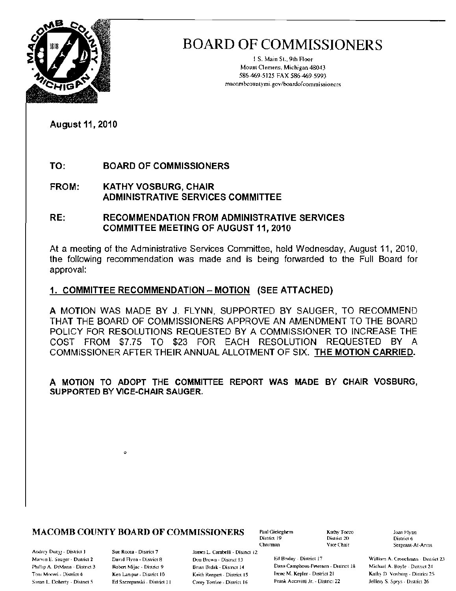

1.S. Main St., 9th Floor Mount Clemens, Michigan 48043 586-469-5125 FAX 586-469-5993 macombcountymi.gov/boardofcommissioners

**August 11, 2010** 

TO: **BOARD OF COMMISSIONERS** 

**FROM: KATHY VOSBURG, CHAIR ADMINISTRATIVE SERVICES COMMITTEE** 

#### RE: **RECOMMENDATION FROM ADMINISTRATIVE SERVICES COMMITTEE MEETING OF AUGUST 11, 2010**

At a meeting of the Administrative Services Committee, held Wednesday, August 11, 2010, the following recommendation was made and is being forwarded to the Full Board for approval:

## 1. COMMITTEE RECOMMENDATION - MOTION (SEE ATTACHED)

A MOTION WAS MADE BY J. FLYNN, SUPPORTED BY SAUGER, TO RECOMMEND THAT THE BOARD OF COMMISSIONERS APPROVE AN AMENDMENT TO THE BOARD POLICY FOR RESOLUTIONS REQUESTED BY A COMMISSIONER TO INCREASE THE COST FROM \$7.75 TO \$23 FOR EACH RESOLUTION REQUESTED BY A COMMISSIONER AFTER THEIR ANNUAL ALLOTMENT OF SIX. THE MOTION CARRIED.

A MOTION TO ADOPT THE COMMITTEE REPORT WAS MADE BY CHAIR VOSBURG. SUPPORTED BY VICE-CHAIR SAUGER.

## **MACOMB COUNTY BOARD OF COMMISSIONERS**

Andrey Duzyj - District J Marvin E. Sauger - District 2 Phillip A. DiMana - District 3. Toni Mocen - District 4 Susan L. Doherty - Distnet 5

Sue Rocea - District 7 David Flynn - District 8 Robert Mijac - District 9 Ken Lampar - District 10 Ed Szczepanski - District 11 James L. Carabelli - Distnet 12 Don Brown - District 13 Brian Brdak - District 14 Keith Rengert - District 15 Carey Torrice - District 16

Paul Gieleghem District 19 Chairman

Kathy Torco District 20 Vice Chair

Ed Bruley - District 17 Dana Camphous-Peterson - District 18 Irene M. Kepler - District 21 Frank Accavitti Jr. - District 22

Joan Flynn District 6 Sergeant-At-Arms

William A. Crouchman - District 23 Michael A. Boyle - District 24 Kathy D. Vosburg - District 25 Jeffery S. Sprys - District 26